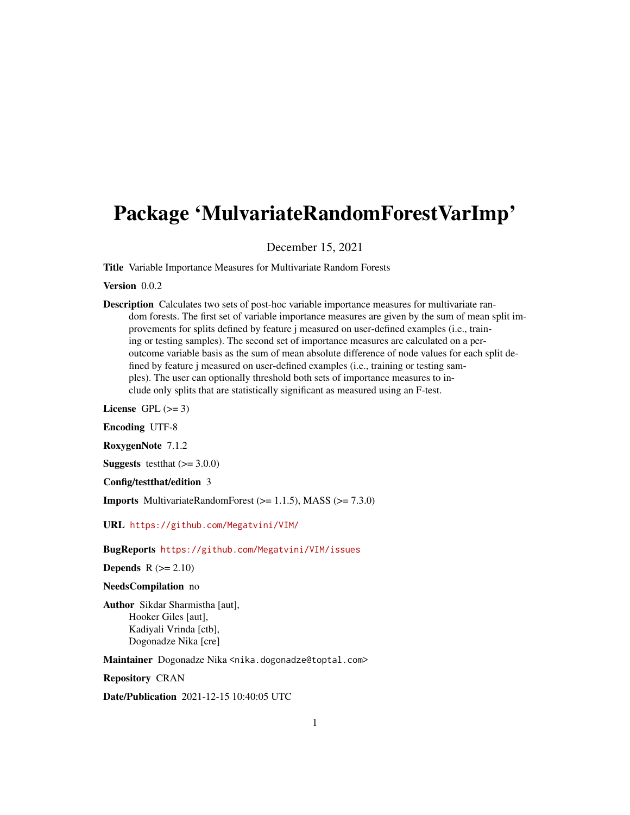## Package 'MulvariateRandomForestVarImp'

December 15, 2021

Title Variable Importance Measures for Multivariate Random Forests

#### Version 0.0.2

Description Calculates two sets of post-hoc variable importance measures for multivariate random forests. The first set of variable importance measures are given by the sum of mean split improvements for splits defined by feature j measured on user-defined examples (i.e., training or testing samples). The second set of importance measures are calculated on a peroutcome variable basis as the sum of mean absolute difference of node values for each split defined by feature j measured on user-defined examples (i.e., training or testing samples). The user can optionally threshold both sets of importance measures to include only splits that are statistically significant as measured using an F-test.

License GPL  $(>= 3)$ 

Encoding UTF-8

RoxygenNote 7.1.2

**Suggests** test that  $(>= 3.0.0)$ 

Config/testthat/edition 3

Imports MultivariateRandomForest (>= 1.1.5), MASS (>= 7.3.0)

URL <https://github.com/Megatvini/VIM/>

BugReports <https://github.com/Megatvini/VIM/issues>

**Depends**  $R$  ( $>= 2.10$ )

NeedsCompilation no

Author Sikdar Sharmistha [aut], Hooker Giles [aut], Kadiyali Vrinda [ctb], Dogonadze Nika [cre]

Maintainer Dogonadze Nika <nika.dogonadze@toptal.com>

Repository CRAN

Date/Publication 2021-12-15 10:40:05 UTC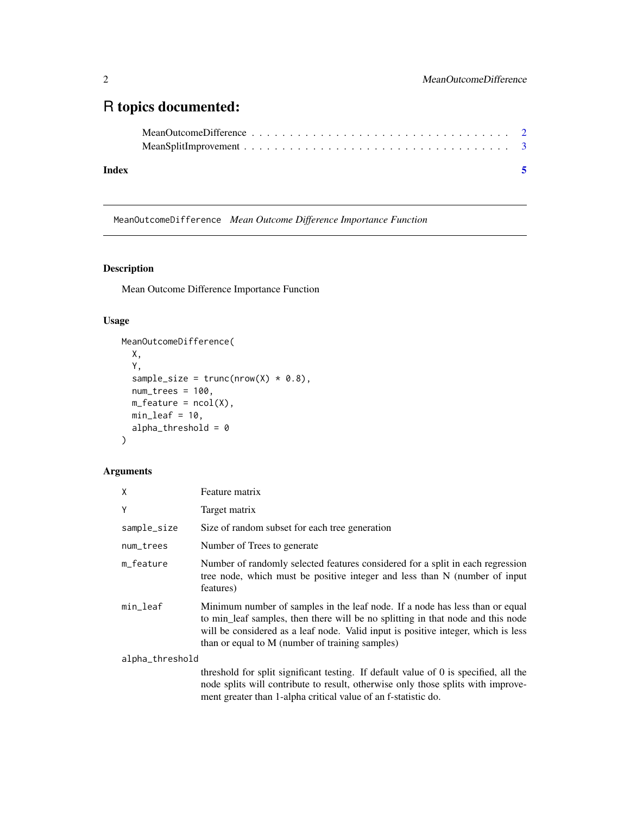### <span id="page-1-0"></span>R topics documented:

| Index |  |
|-------|--|

MeanOutcomeDifference *Mean Outcome Difference Importance Function*

#### Description

Mean Outcome Difference Importance Function

#### Usage

```
MeanOutcomeDifference(
X,
Y,
 sample\_size = trunc(nrow(X) * 0.8),
num_trees = 100,
m_f feature = ncol(X),
min\_leaf = 10,
alpha_threshold = 0)
```
#### Arguments

| X               | Feature matrix                                                                                                                                                                                                                                                                                          |  |
|-----------------|---------------------------------------------------------------------------------------------------------------------------------------------------------------------------------------------------------------------------------------------------------------------------------------------------------|--|
| Υ               | Target matrix                                                                                                                                                                                                                                                                                           |  |
| sample_size     | Size of random subset for each tree generation                                                                                                                                                                                                                                                          |  |
| num_trees       | Number of Trees to generate                                                                                                                                                                                                                                                                             |  |
| m_feature       | Number of randomly selected features considered for a split in each regression<br>tree node, which must be positive integer and less than N (number of input<br>features)                                                                                                                               |  |
| min_leaf        | Minimum number of samples in the leaf node. If a node has less than or equal<br>to min_leaf samples, then there will be no splitting in that node and this node<br>will be considered as a leaf node. Valid input is positive integer, which is less<br>than or equal to M (number of training samples) |  |
| alpha_threshold |                                                                                                                                                                                                                                                                                                         |  |
|                 | threshold for split significant testing. If default value of 0 is specified, all the<br>node splits will contribute to result, otherwise only those splits with improve-<br>ment greater than 1-alpha critical value of an f-statistic do.                                                              |  |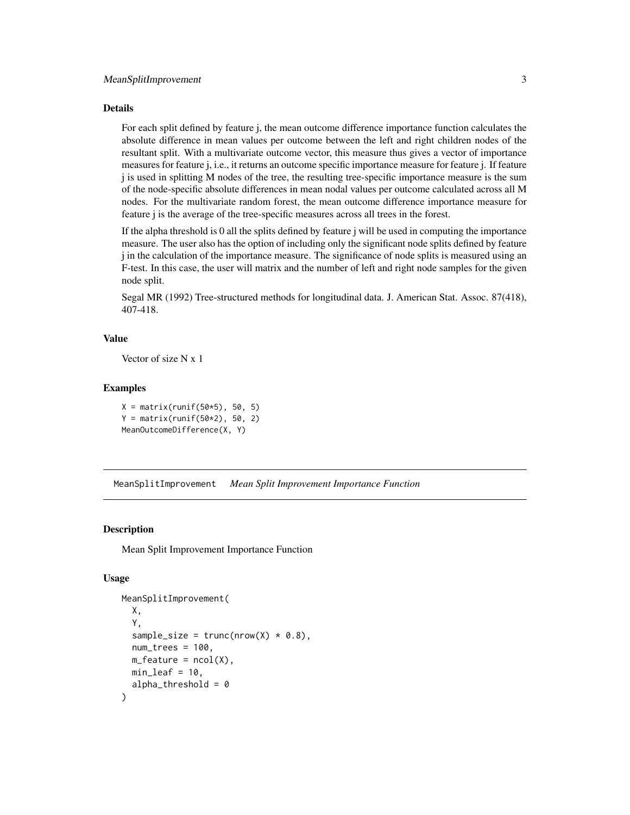#### <span id="page-2-0"></span>Details

For each split defined by feature j, the mean outcome difference importance function calculates the absolute difference in mean values per outcome between the left and right children nodes of the resultant split. With a multivariate outcome vector, this measure thus gives a vector of importance measures for feature j, i.e., it returns an outcome specific importance measure for feature j. If feature j is used in splitting M nodes of the tree, the resulting tree-specific importance measure is the sum of the node-specific absolute differences in mean nodal values per outcome calculated across all M nodes. For the multivariate random forest, the mean outcome difference importance measure for feature j is the average of the tree-specific measures across all trees in the forest.

If the alpha threshold is 0 all the splits defined by feature j will be used in computing the importance measure. The user also has the option of including only the significant node splits defined by feature j in the calculation of the importance measure. The significance of node splits is measured using an F-test. In this case, the user will matrix and the number of left and right node samples for the given node split.

Segal MR (1992) Tree-structured methods for longitudinal data. J. American Stat. Assoc. 87(418), 407-418.

#### Value

Vector of size N x 1

#### Examples

 $X = matrix(runit(50*5), 50, 5)$  $Y = matrix(runif(50*2), 50, 2)$ MeanOutcomeDifference(X, Y)

MeanSplitImprovement *Mean Split Improvement Importance Function*

#### **Description**

Mean Split Improvement Importance Function

#### Usage

```
MeanSplitImprovement(
 X,
 Y,
 sample_size = trunc(nrow(X) * 0.8),
 num\_trees = 100,
 m_f feature = ncol(X),
 min\_leaf = 10,
 alpha_\text{threshold} = 0)
```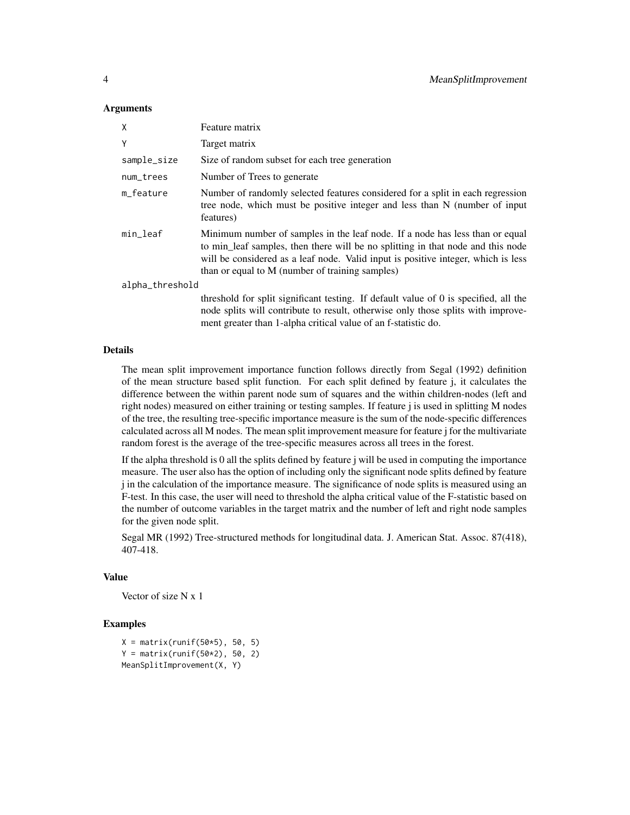#### Arguments

| X               | Feature matrix                                                                                                                                                                                                                                                                                          |
|-----------------|---------------------------------------------------------------------------------------------------------------------------------------------------------------------------------------------------------------------------------------------------------------------------------------------------------|
| Y               | Target matrix                                                                                                                                                                                                                                                                                           |
| sample_size     | Size of random subset for each tree generation                                                                                                                                                                                                                                                          |
| num_trees       | Number of Trees to generate                                                                                                                                                                                                                                                                             |
| m feature       | Number of randomly selected features considered for a split in each regression<br>tree node, which must be positive integer and less than N (number of input<br>features)                                                                                                                               |
| min_leaf        | Minimum number of samples in the leaf node. If a node has less than or equal<br>to min_leaf samples, then there will be no splitting in that node and this node<br>will be considered as a leaf node. Valid input is positive integer, which is less<br>than or equal to M (number of training samples) |
| alpha_threshold |                                                                                                                                                                                                                                                                                                         |
|                 | threshold for split significant testing. If default value of 0 is specified, all the<br>node splits will contribute to result, otherwise only those splits with improve-<br>ment greater than 1-alpha critical value of an f-statistic do.                                                              |

#### Details

The mean split improvement importance function follows directly from Segal (1992) definition of the mean structure based split function. For each split defined by feature j, it calculates the difference between the within parent node sum of squares and the within children-nodes (left and right nodes) measured on either training or testing samples. If feature j is used in splitting M nodes of the tree, the resulting tree-specific importance measure is the sum of the node-specific differences calculated across all M nodes. The mean split improvement measure for feature j for the multivariate random forest is the average of the tree-specific measures across all trees in the forest.

If the alpha threshold is 0 all the splits defined by feature j will be used in computing the importance measure. The user also has the option of including only the significant node splits defined by feature j in the calculation of the importance measure. The significance of node splits is measured using an F-test. In this case, the user will need to threshold the alpha critical value of the F-statistic based on the number of outcome variables in the target matrix and the number of left and right node samples for the given node split.

Segal MR (1992) Tree-structured methods for longitudinal data. J. American Stat. Assoc. 87(418), 407-418.

#### Value

Vector of size N x 1

#### Examples

```
X = matrix(runif(50*5), 50, 5)Y = matrix(runif(50*2), 50, 2)MeanSplitImprovement(X, Y)
```